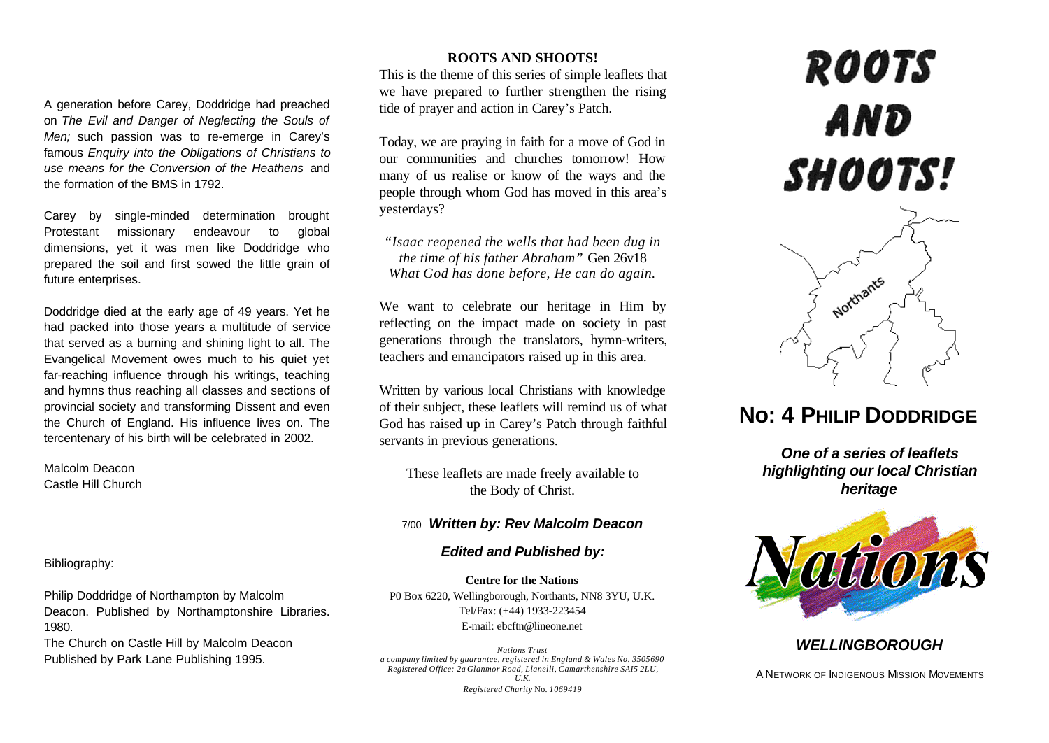A generation before Carey, Doddridge had preached on *The Evil and Danger of Neglecting the Souls of Men;* such passion was to re-emerge in Carey's famous *Enquiry into the Obligations of Christians to use means for the Conversion of the Heathens* and the formation of the BMS in 1792.

Carey by single-minded determination brought Protestant missionary endeavour to global dimensions, yet it was men like Doddridge who prepared the soil and first sowed the little grain of future enterprises.

Doddridge died at the early age of 49 years. Yet he had packed into those years a multitude of service that served as a burning and shining light to all. The Evangelical Movement owes much to his quiet yet far-reaching influence through his writings, teaching and hymns thus reaching all classes and sections of provincial society and transforming Dissent and even the Church of England. His influence lives on. The tercentenary of his birth will be celebrated in 2002.

Malcolm Deacon Castle Hill Church

Bibliography:

Philip Doddridge of Northampton by Malcolm Deacon. Published by Northamptonshire Libraries. 1980.

The Church on Castle Hill by Malcolm Deacon Published by Park Lane Publishing 1995.

## **ROOTS AND SHOOTS!**

This is the theme of this series of simple leaflets that we have prepared to further strengthen the rising tide of prayer and action in Carey's Patch.

Today, we are praying in faith for a move of God in our communities and churches tomorrow! How many of us realise or know of the ways and the people through whom God has moved in this area's yesterdays?

*"Isaac reopened the wells that had been dug in the time of his father Abraham"* Gen 26v18 *What God has done before, He can do again.*

We want to celebrate our heritage in Him by reflecting on the impact made on society in past generations through the translators, hymn-writers, teachers and emancipators raised up in this area.

Written by various local Christians with knowledge of their subject, these leaflets will remind us of what God has raised up in Carey's Patch through faithful servants in previous generations.

These leaflets are made freely available to the Body of Christ.

# 7/00 *Written by: Rev Malcolm Deacon*

## *Edited and Published by:*

**Centre for the Nations** P0 Box 6220, Wellingborough, Northants, NN8 3YU, U.K. Tel/Fax: (+44) 1933-223454 E-mail: ebcftn@lineone.net

*Nations Trust a company limited by guarantee, registered in England & Wales No. 3505690 Registered Office: 2a Glanmor Road, Llanelli, Camarthenshire SAI5 2LU, U.K. Registered Charity* No. *1069419*

# **ROOTS AND** SHOOTS!



# **No: 4 PHILIP DODDRIDGE**

*One of a series of leaflets highlighting our local Christian heritage*



# *WELLINGBOROUGH*

A NETWORK OF INDIGENOUS MISSION MOVEMENTS